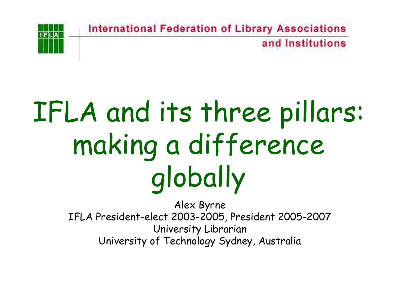and Institutions

# IFLA and its three pillars: making a difference globally

Alex Byrne IFLA President-elect 2003-2005, President 2005-2007 University Librarian University of Technology Sydney, Australia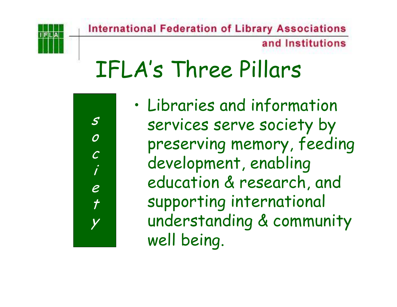and Institutions

### IFLA's Three Pillars

s

o

c

i

e

 $\boldsymbol{\mathcal{f}}$ 

y

• Libraries and information services serve society by preserving memory, feeding development, enabling education & research, and supporting international understanding & community well being.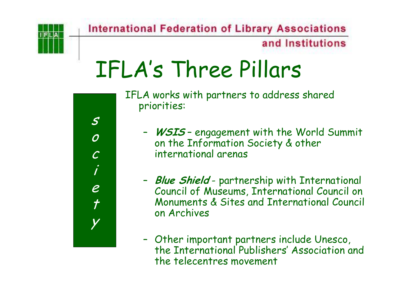#### and Institutions

## IFLA's Three Pillars

s o c ie  $\overline{r}$ y IFLA works with partners to address shared priorities:

- – **WSIS** – engagement with the World Summit on the Information Society & other international arenas
- – **Blue Shield** - partnership with International Council of Museums, International Council on Monuments & Sites and International Council on Archives
- – Other important partners include Unesco, the International Publishers' Association and the telecentres movement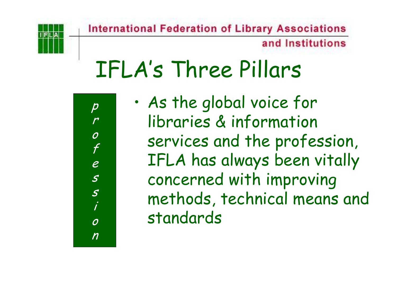and Institutions

### IFLA's Three Pillars



•

 As the global voice for libraries & information services and the profession, IFLA has always been vitally concerned with improving methods, technical means and standards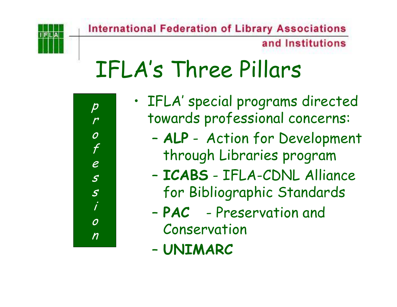and Institutions

### IFLA's Three Pillars



- • IFLA' special programs directed towards professional concerns:
	- – **ALP** - Action for Development through Libraries program
	- – **ICABS** - IFLA-CDNL Alliance for Bibliographic Standards
	- **PAC** Preservation and Conservation
	- –**UNIMARC**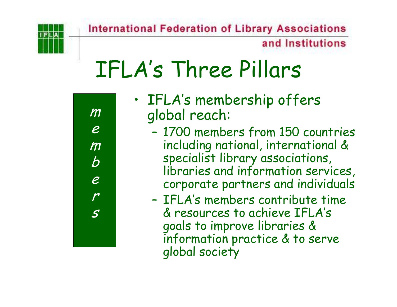and Institutions

### IFLA's Three Pillars

| $\pmb m$                      |
|-------------------------------|
| $\boldsymbol{\mathcal{C}}$    |
| $\pmb m$                      |
| $\overline{b}$                |
| e<br>$\overline{\mathcal{L}}$ |
| $\overline{\mathcal{S}}$      |
|                               |

- • IFLA's membership offers global reach:
	- – 1700 members from 150 countries including national, international & specialist library associations, libraries and information services, corporate partners and individuals
	- IFLA's members contribute time & resources to achieve IFLA's goals to improve libraries & information practice & to serve global society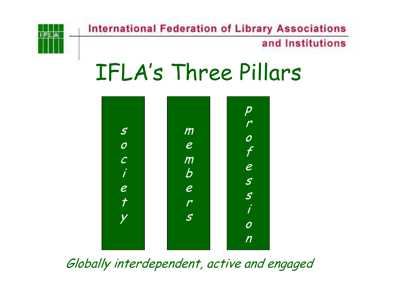

#### and Institutions

#### IFLA's Three Pillars



Globally interdependent, active and engaged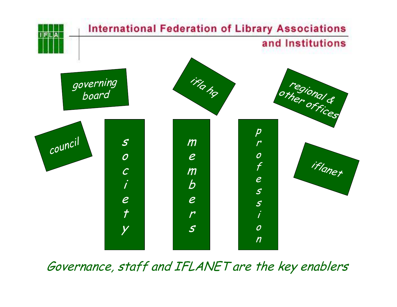

Governance, staff and IFLANET are the key enablers